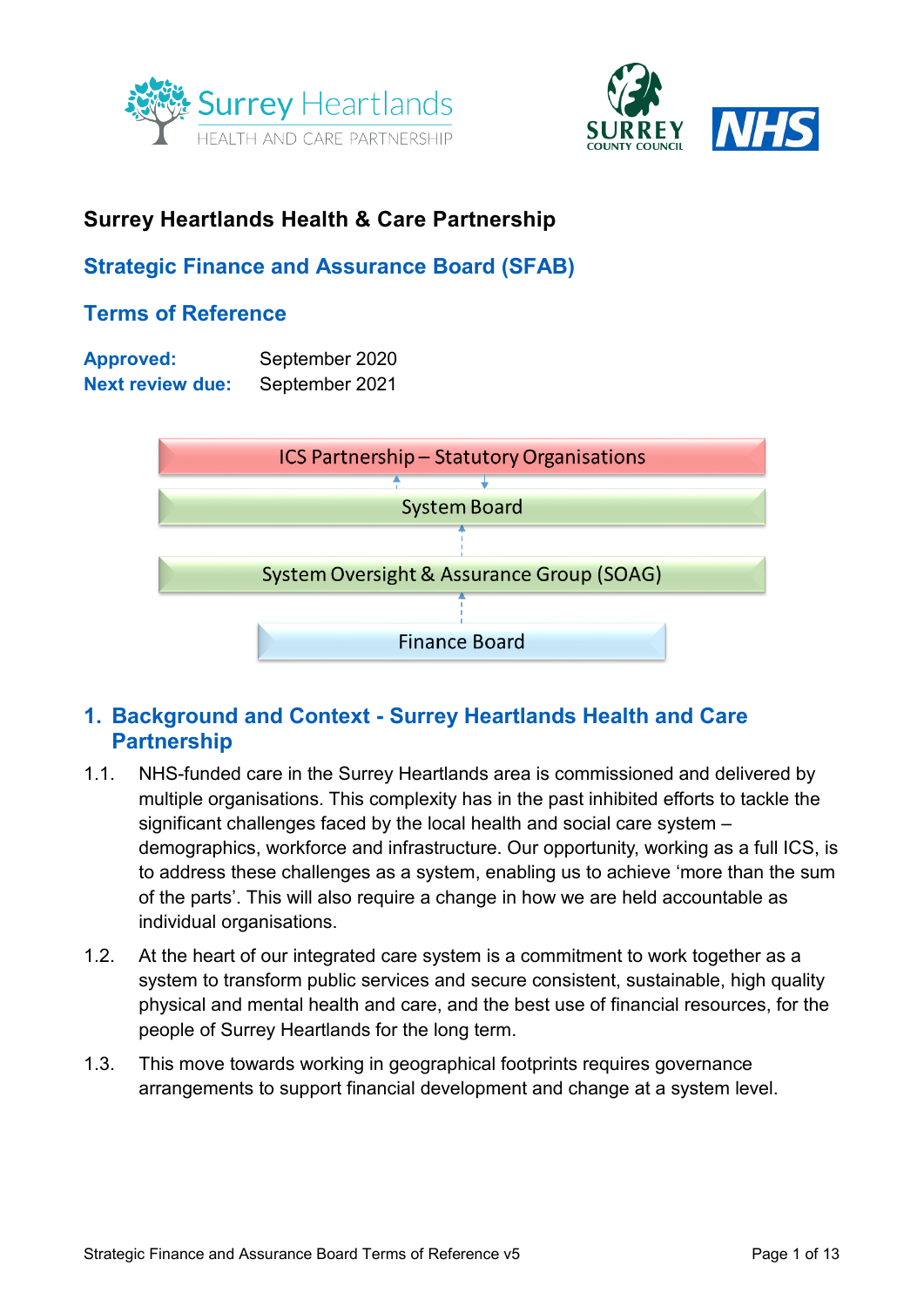



# **Surrey Heartlands Health & Care Partnership**

# <span id="page-0-0"></span>**Strategic Finance and Assurance Board (SFAB)**

# **Terms of Reference**

| <b>Approved:</b>        | September 2020 |
|-------------------------|----------------|
| <b>Next review due:</b> | September 2021 |



## **1. Background and Context - Surrey Heartlands Health and Care Partnership**

- 1.1. NHS-funded care in the Surrey Heartlands area is commissioned and delivered by multiple organisations. This complexity has in the past inhibited efforts to tackle the significant challenges faced by the local health and social care system – demographics, workforce and infrastructure. Our opportunity, working as a full ICS, is to address these challenges as a system, enabling us to achieve 'more than the sum of the parts'. This will also require a change in how we are held accountable as individual organisations.
- 1.2. At the heart of our integrated care system is a commitment to work together as a system to transform public services and secure consistent, sustainable, high quality physical and mental health and care, and the best use of financial resources, for the people of Surrey Heartlands for the long term.
- 1.3. This move towards working in geographical footprints requires governance arrangements to support financial development and change at a system level.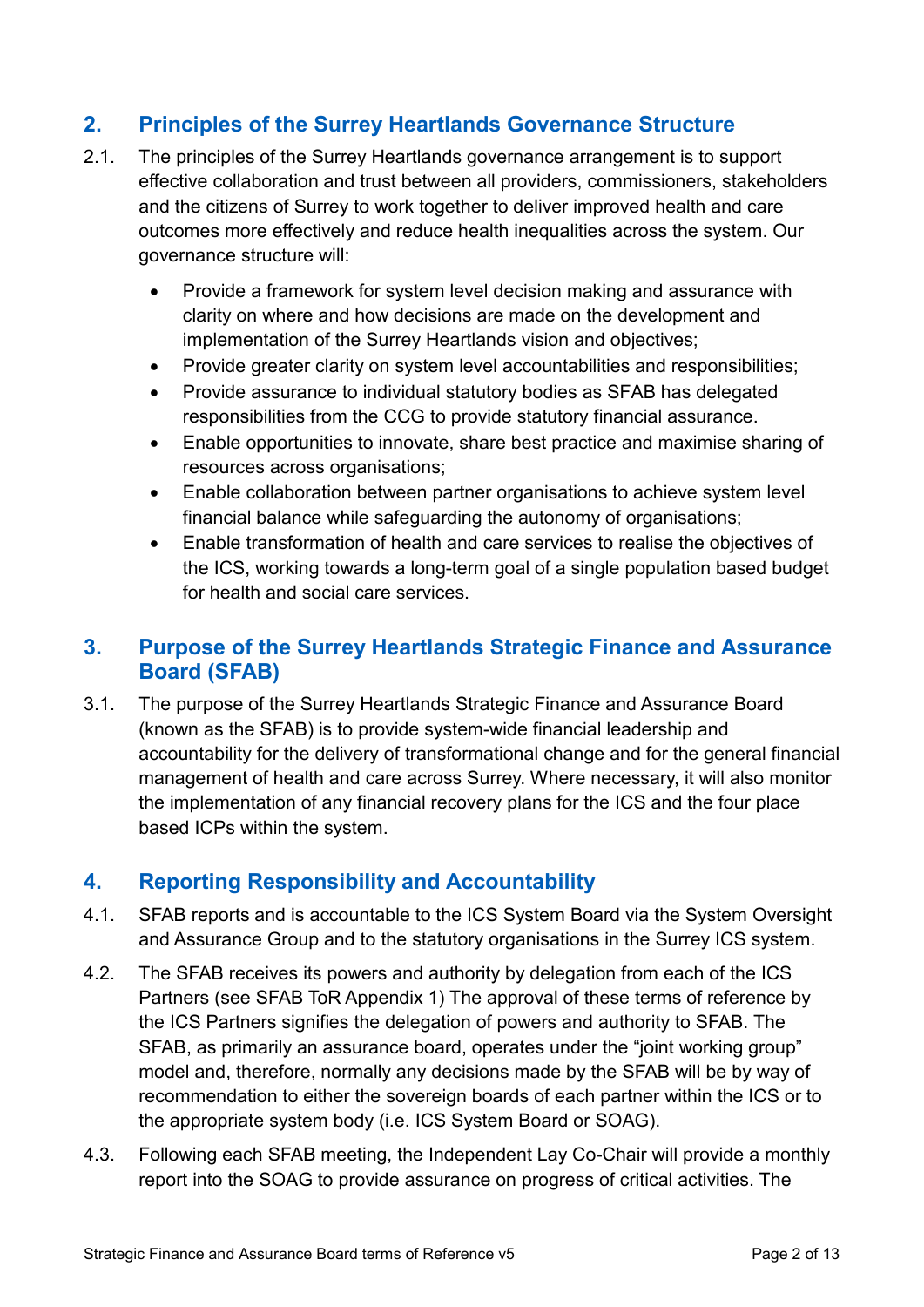# **2. Principles of the Surrey Heartlands Governance Structure**

- 2.1. The principles of the Surrey Heartlands governance arrangement is to support effective collaboration and trust between all providers, commissioners, stakeholders and the citizens of Surrey to work together to deliver improved health and care outcomes more effectively and reduce health inequalities across the system. Our governance structure will:
	- Provide a framework for system level decision making and assurance with clarity on where and how decisions are made on the development and implementation of the Surrey Heartlands vision and objectives;
	- Provide greater clarity on system level accountabilities and responsibilities;
	- Provide assurance to individual statutory bodies as SFAB has delegated responsibilities from the CCG to provide statutory financial assurance.
	- Enable opportunities to innovate, share best practice and maximise sharing of resources across organisations;
	- Enable collaboration between partner organisations to achieve system level financial balance while safeguarding the autonomy of organisations;
	- Enable transformation of health and care services to realise the objectives of the ICS, working towards a long-term goal of a single population based budget for health and social care services.

## **3. Purpose of the Surrey Heartlands Strategic Finance and Assurance Board (SFAB)**

3.1. The purpose of the Surrey Heartlands Strategic Finance and Assurance Board (known as the SFAB) is to provide system-wide financial leadership and accountability for the delivery of transformational change and for the general financial management of health and care across Surrey. Where necessary, it will also monitor the implementation of any financial recovery plans for the ICS and the four place based ICPs within the system.

## **4. Reporting Responsibility and Accountability**

- 4.1. SFAB reports and is accountable to the ICS System Board via the System Oversight and Assurance Group and to the statutory organisations in the Surrey ICS system.
- 4.2. The SFAB receives its powers and authority by delegation from each of the ICS Partners (see SFAB ToR [Appendix 1\)](#page-0-0) The approval of these terms of reference by the ICS Partners signifies the delegation of powers and authority to SFAB. The SFAB, as primarily an assurance board, operates under the "joint working group" model and, therefore, normally any decisions made by the SFAB will be by way of recommendation to either the sovereign boards of each partner within the ICS or to the appropriate system body (i.e. ICS System Board or SOAG).
- 4.3. Following each SFAB meeting, the Independent Lay Co-Chair will provide a monthly report into the SOAG to provide assurance on progress of critical activities. The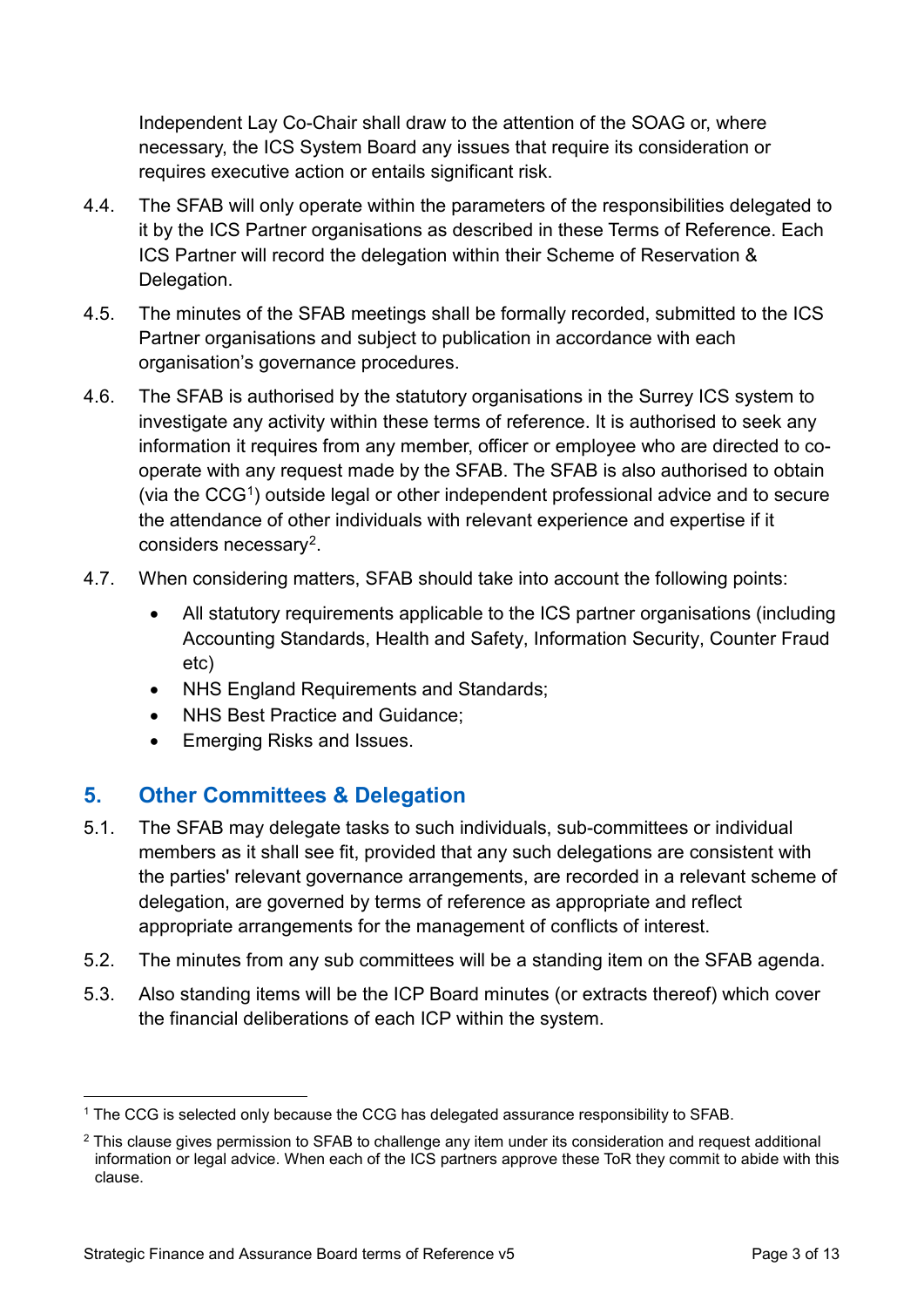Independent Lay Co-Chair shall draw to the attention of the SOAG or, where necessary, the ICS System Board any issues that require its consideration or requires executive action or entails significant risk.

- 4.4. The SFAB will only operate within the parameters of the responsibilities delegated to it by the ICS Partner organisations as described in these Terms of Reference. Each ICS Partner will record the delegation within their Scheme of Reservation & Delegation.
- 4.5. The minutes of the SFAB meetings shall be formally recorded, submitted to the ICS Partner organisations and subject to publication in accordance with each organisation's governance procedures.
- 4.6. The SFAB is authorised by the statutory organisations in the Surrey ICS system to investigate any activity within these terms of reference. It is authorised to seek any information it requires from any member, officer or employee who are directed to cooperate with any request made by the SFAB. The SFAB is also authorised to obtain (via the CCG[1\)](#page-2-0) outside legal or other independent professional advice and to secure the attendance of other individuals with relevant experience and expertise if it considers necessary[2.](#page-2-1)
- 4.7. When considering matters, SFAB should take into account the following points:
	- All statutory requirements applicable to the ICS partner organisations (including Accounting Standards, Health and Safety, Information Security, Counter Fraud etc)
	- NHS England Requirements and Standards;
	- NHS Best Practice and Guidance;
	- Emerging Risks and Issues.

# **5. Other Committees & Delegation**

- 5.1. The SFAB may delegate tasks to such individuals, sub-committees or individual members as it shall see fit, provided that any such delegations are consistent with the parties' relevant governance arrangements, are recorded in a relevant scheme of delegation, are governed by terms of reference as appropriate and reflect appropriate arrangements for the management of conflicts of interest.
- 5.2. The minutes from any sub committees will be a standing item on the SFAB agenda.
- 5.3. Also standing items will be the ICP Board minutes (or extracts thereof) which cover the financial deliberations of each ICP within the system.

<span id="page-2-0"></span> <sup>1</sup> The CCG is selected only because the CCG has delegated assurance responsibility to SFAB.

<span id="page-2-1"></span><sup>&</sup>lt;sup>2</sup> This clause gives permission to SFAB to challenge any item under its consideration and request additional information or legal advice. When each of the ICS partners approve these ToR they commit to abide with this clause.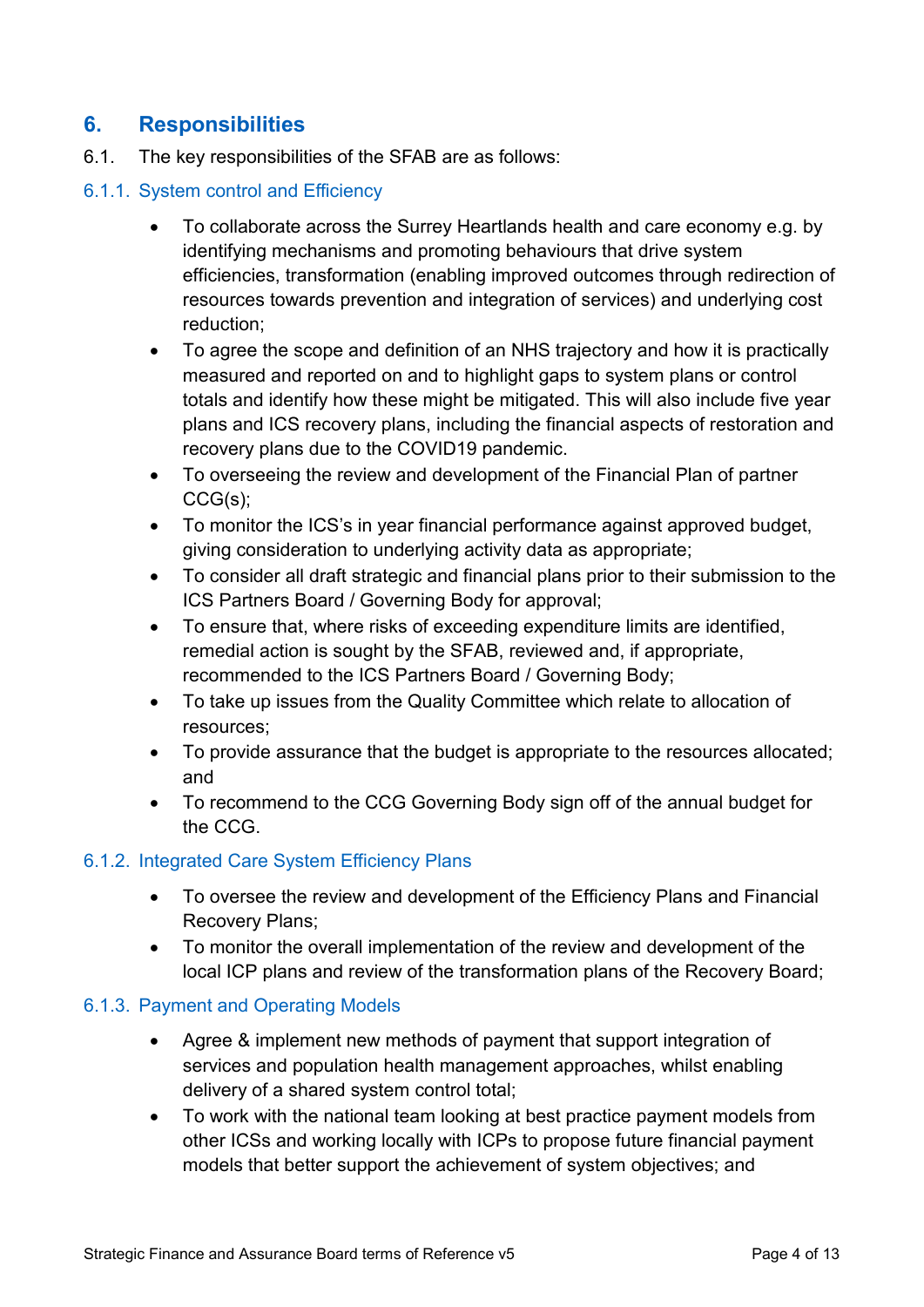## **6. Responsibilities**

6.1. The key responsibilities of the SFAB are as follows:

#### 6.1.1. System control and Efficiency

- To collaborate across the Surrey Heartlands health and care economy e.g. by identifying mechanisms and promoting behaviours that drive system efficiencies, transformation (enabling improved outcomes through redirection of resources towards prevention and integration of services) and underlying cost reduction;
- To agree the scope and definition of an NHS trajectory and how it is practically measured and reported on and to highlight gaps to system plans or control totals and identify how these might be mitigated. This will also include five year plans and ICS recovery plans, including the financial aspects of restoration and recovery plans due to the COVID19 pandemic.
- To overseeing the review and development of the Financial Plan of partner CCG(s);
- To monitor the ICS's in year financial performance against approved budget, giving consideration to underlying activity data as appropriate;
- To consider all draft strategic and financial plans prior to their submission to the ICS Partners Board / Governing Body for approval;
- To ensure that, where risks of exceeding expenditure limits are identified, remedial action is sought by the SFAB, reviewed and, if appropriate, recommended to the ICS Partners Board / Governing Body;
- To take up issues from the Quality Committee which relate to allocation of resources;
- To provide assurance that the budget is appropriate to the resources allocated; and
- To recommend to the CCG Governing Body sign off of the annual budget for the CCG.

### 6.1.2. Integrated Care System Efficiency Plans

- To oversee the review and development of the Efficiency Plans and Financial Recovery Plans;
- To monitor the overall implementation of the review and development of the local ICP plans and review of the transformation plans of the Recovery Board;

### 6.1.3. Payment and Operating Models

- Agree & implement new methods of payment that support integration of services and population health management approaches, whilst enabling delivery of a shared system control total;
- To work with the national team looking at best practice payment models from other ICSs and working locally with ICPs to propose future financial payment models that better support the achievement of system objectives; and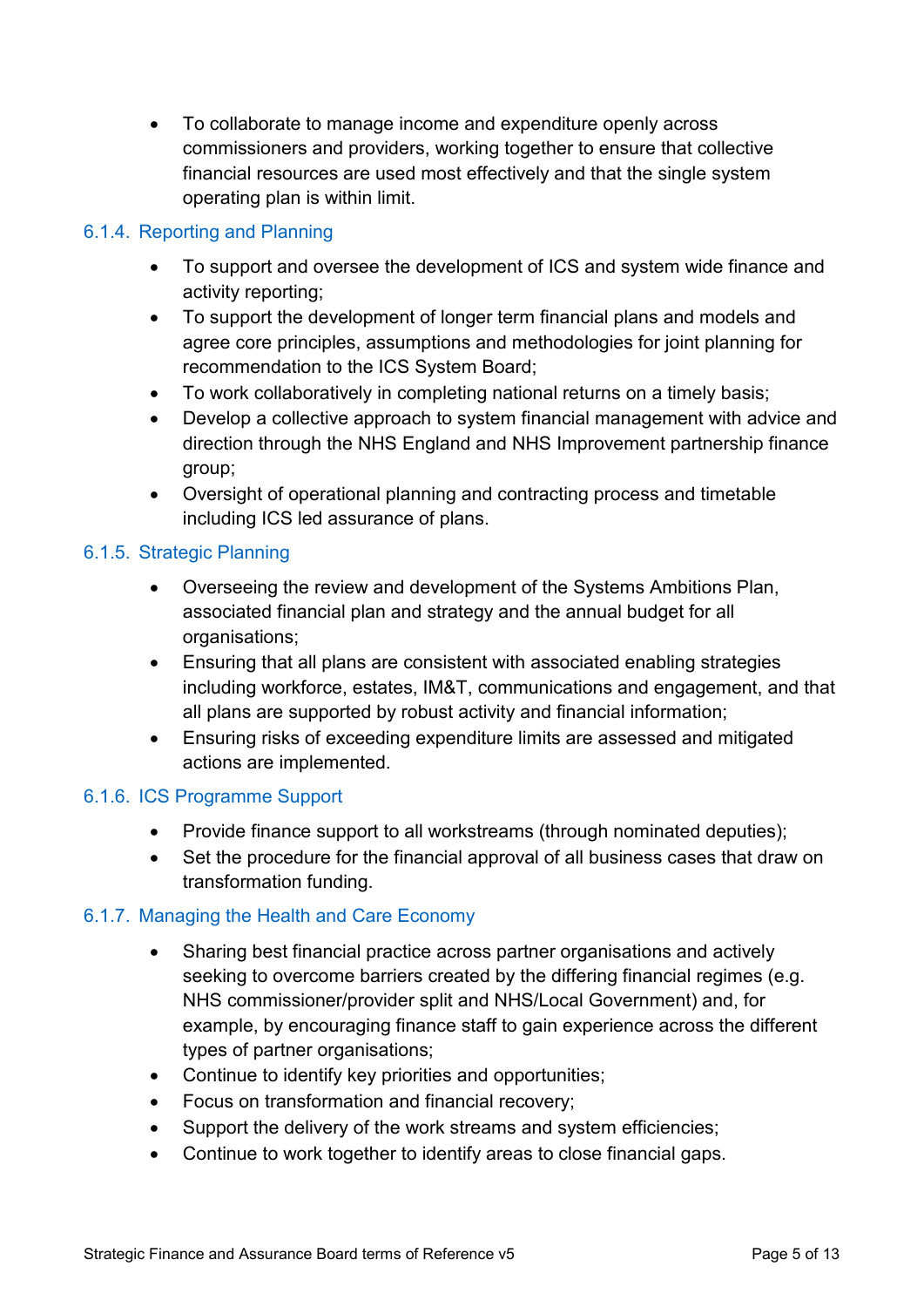• To collaborate to manage income and expenditure openly across commissioners and providers, working together to ensure that collective financial resources are used most effectively and that the single system operating plan is within limit.

### 6.1.4. Reporting and Planning

- To support and oversee the development of ICS and system wide finance and activity reporting;
- To support the development of longer term financial plans and models and agree core principles, assumptions and methodologies for joint planning for recommendation to the ICS System Board;
- To work collaboratively in completing national returns on a timely basis;
- Develop a collective approach to system financial management with advice and direction through the NHS England and NHS Improvement partnership finance group;
- Oversight of operational planning and contracting process and timetable including ICS led assurance of plans.

#### 6.1.5. Strategic Planning

- Overseeing the review and development of the Systems Ambitions Plan, associated financial plan and strategy and the annual budget for all organisations;
- Ensuring that all plans are consistent with associated enabling strategies including workforce, estates, IM&T, communications and engagement, and that all plans are supported by robust activity and financial information;
- Ensuring risks of exceeding expenditure limits are assessed and mitigated actions are implemented.

#### 6.1.6. ICS Programme Support

- Provide finance support to all workstreams (through nominated deputies);
- Set the procedure for the financial approval of all business cases that draw on transformation funding.

### 6.1.7. Managing the Health and Care Economy

- Sharing best financial practice across partner organisations and actively seeking to overcome barriers created by the differing financial regimes (e.g. NHS commissioner/provider split and NHS/Local Government) and, for example, by encouraging finance staff to gain experience across the different types of partner organisations;
- Continue to identify key priorities and opportunities;
- Focus on transformation and financial recovery;
- Support the delivery of the work streams and system efficiencies;
- Continue to work together to identify areas to close financial gaps.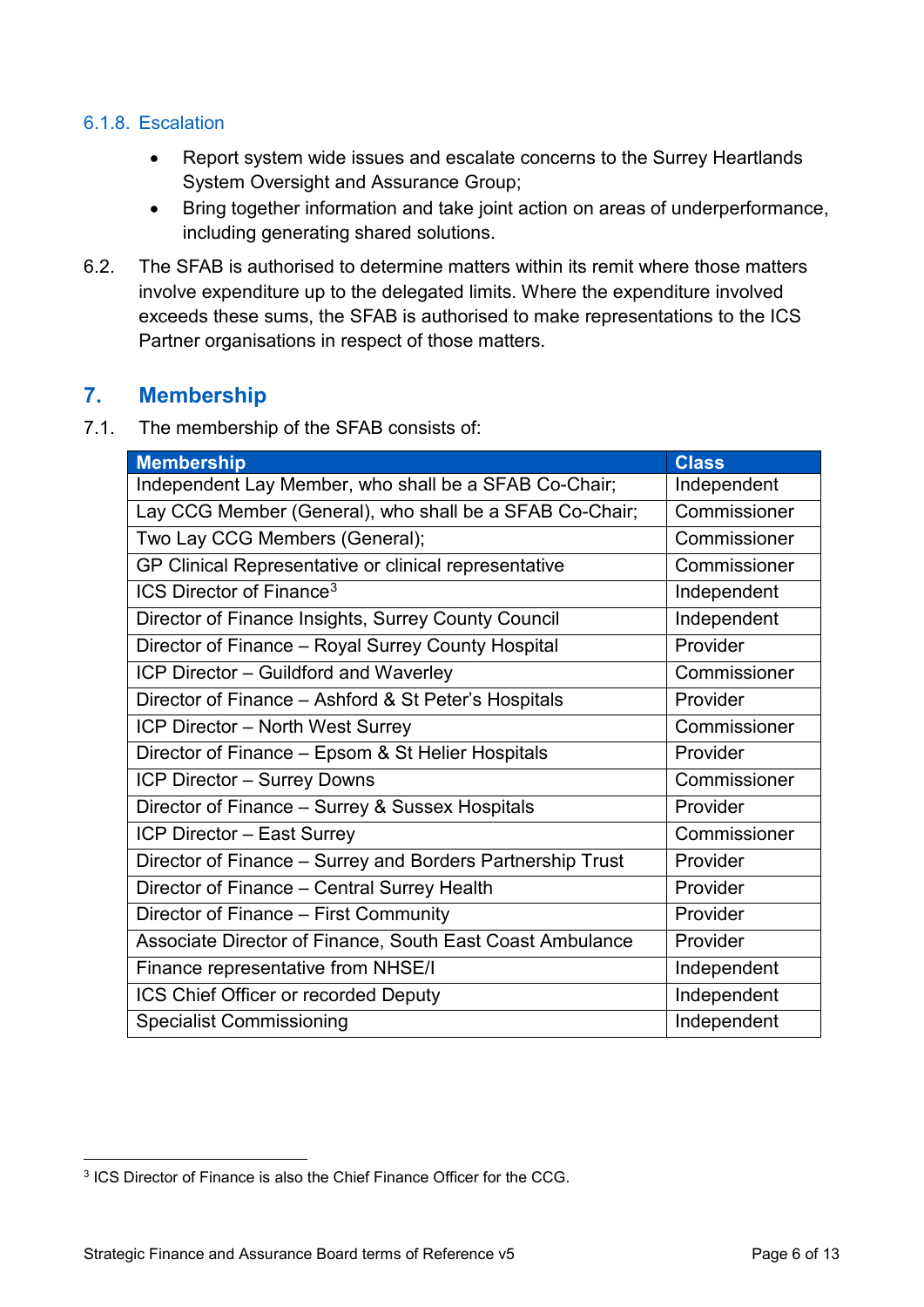#### 6.1.8. Escalation

- Report system wide issues and escalate concerns to the Surrey Heartlands System Oversight and Assurance Group;
- Bring together information and take joint action on areas of underperformance, including generating shared solutions.
- 6.2. The SFAB is authorised to determine matters within its remit where those matters involve expenditure up to the delegated limits. Where the expenditure involved exceeds these sums, the SFAB is authorised to make representations to the ICS Partner organisations in respect of those matters.

## **7. Membership**

7.1. The membership of the SFAB consists of:

| <b>Membership</b>                                          | <b>Class</b> |
|------------------------------------------------------------|--------------|
| Independent Lay Member, who shall be a SFAB Co-Chair;      | Independent  |
| Lay CCG Member (General), who shall be a SFAB Co-Chair;    | Commissioner |
| Two Lay CCG Members (General);                             | Commissioner |
| GP Clinical Representative or clinical representative      | Commissioner |
| ICS Director of Finance <sup>3</sup>                       | Independent  |
| Director of Finance Insights, Surrey County Council        | Independent  |
| Director of Finance – Royal Surrey County Hospital         | Provider     |
| ICP Director - Guildford and Waverley                      | Commissioner |
| Director of Finance - Ashford & St Peter's Hospitals       | Provider     |
| <b>ICP Director - North West Surrey</b>                    | Commissioner |
| Director of Finance - Epsom & St Helier Hospitals          | Provider     |
| ICP Director - Surrey Downs                                | Commissioner |
| Director of Finance - Surrey & Sussex Hospitals            | Provider     |
| ICP Director - East Surrey                                 | Commissioner |
| Director of Finance - Surrey and Borders Partnership Trust | Provider     |
| Director of Finance - Central Surrey Health                | Provider     |
| Director of Finance - First Community                      | Provider     |
| Associate Director of Finance, South East Coast Ambulance  | Provider     |
| Finance representative from NHSE/I                         | Independent  |
| ICS Chief Officer or recorded Deputy                       | Independent  |
| <b>Specialist Commissioning</b>                            | Independent  |

<span id="page-5-0"></span> <sup>3</sup> ICS Director of Finance is also the Chief Finance Officer for the CCG.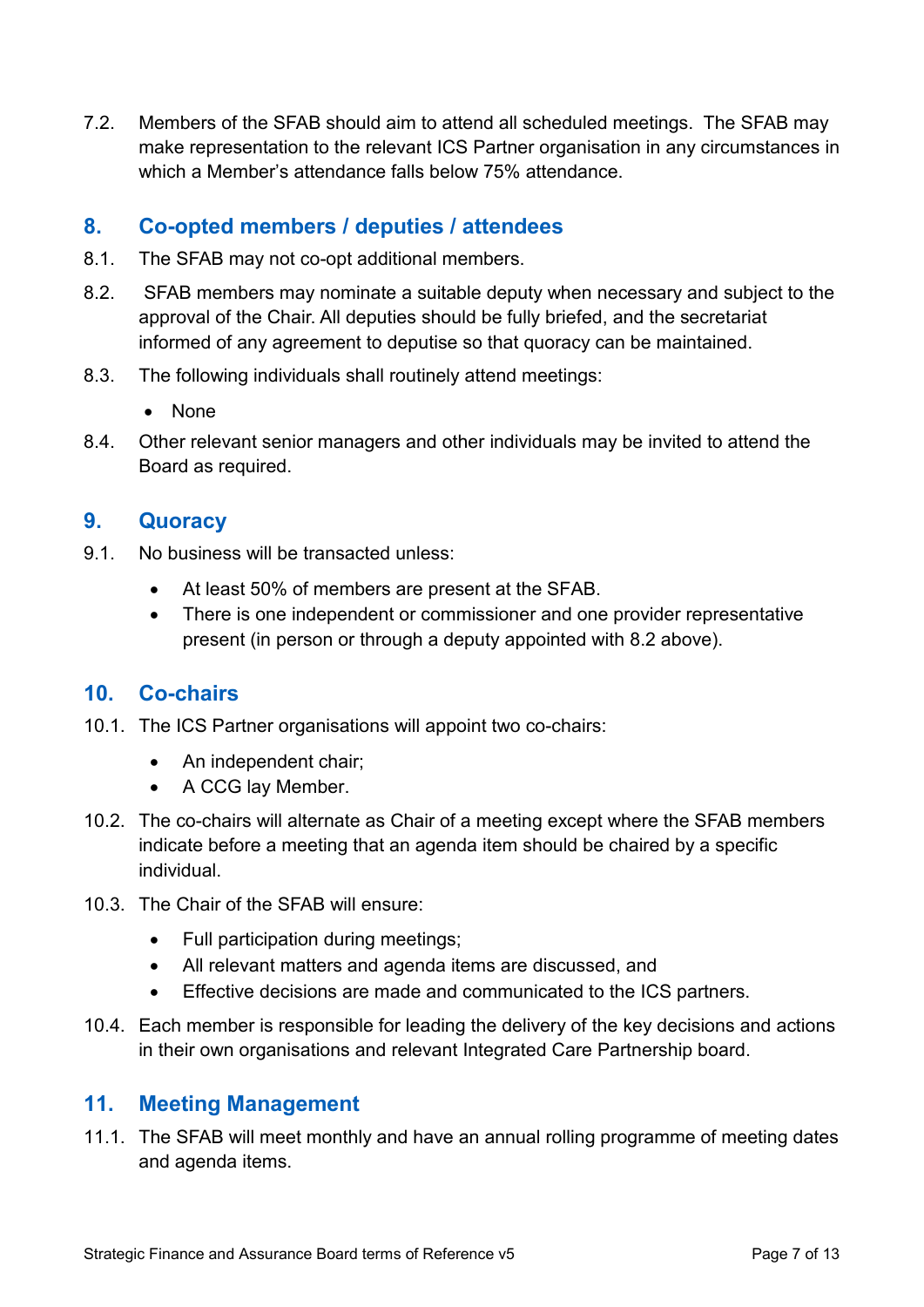7.2. Members of the SFAB should aim to attend all scheduled meetings. The SFAB may make representation to the relevant ICS Partner organisation in any circumstances in which a Member's attendance falls below 75% attendance.

## **8. Co-opted members / deputies / attendees**

- 8.1. The SFAB may not co-opt additional members.
- <span id="page-6-0"></span>8.2. SFAB members may nominate a suitable deputy when necessary and subject to the approval of the Chair. All deputies should be fully briefed, and the secretariat informed of any agreement to deputise so that quoracy can be maintained.
- 8.3. The following individuals shall routinely attend meetings:
	- None
- 8.4. Other relevant senior managers and other individuals may be invited to attend the Board as required.

## **9. Quoracy**

- 9.1. No business will be transacted unless:
	- At least 50% of members are present at the SFAB.
	- There is one independent or commissioner and one provider representative present (in person or through a deputy appointed with [8.2](#page-6-0) above).

# **10. Co-chairs**

- 10.1. The ICS Partner organisations will appoint two co-chairs:
	- An independent chair:
	- A CCG lay Member.
- 10.2. The co-chairs will alternate as Chair of a meeting except where the SFAB members indicate before a meeting that an agenda item should be chaired by a specific individual.
- 10.3. The Chair of the SFAB will ensure:
	- Full participation during meetings;
	- All relevant matters and agenda items are discussed, and
	- Effective decisions are made and communicated to the ICS partners.
- 10.4. Each member is responsible for leading the delivery of the key decisions and actions in their own organisations and relevant Integrated Care Partnership board.

## **11. Meeting Management**

11.1. The SFAB will meet monthly and have an annual rolling programme of meeting dates and agenda items.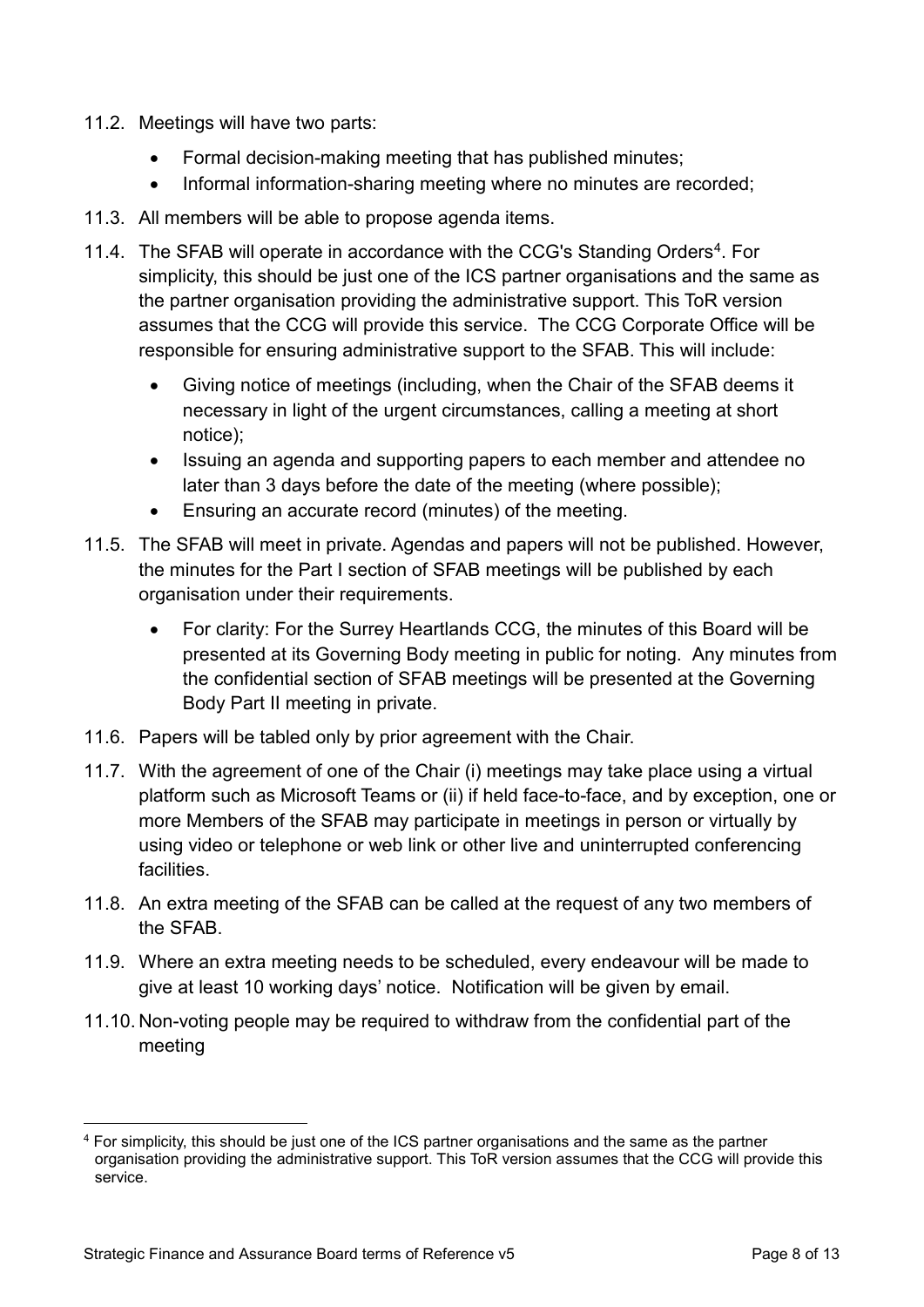- 11.2. Meetings will have two parts:
	- Formal decision-making meeting that has published minutes;
	- Informal information-sharing meeting where no minutes are recorded;
- 11.3. All members will be able to propose agenda items.
- 11.[4.](#page-7-0) The SFAB will operate in accordance with the CCG's Standing Orders<sup>4</sup>. For simplicity, this should be just one of the ICS partner organisations and the same as the partner organisation providing the administrative support. This ToR version assumes that the CCG will provide this service. The CCG Corporate Office will be responsible for ensuring administrative support to the SFAB. This will include:
	- Giving notice of meetings (including, when the Chair of the SFAB deems it necessary in light of the urgent circumstances, calling a meeting at short notice);
	- Issuing an agenda and supporting papers to each member and attendee no later than 3 days before the date of the meeting (where possible);
	- Ensuring an accurate record (minutes) of the meeting.
- 11.5. The SFAB will meet in private. Agendas and papers will not be published. However, the minutes for the Part I section of SFAB meetings will be published by each organisation under their requirements.
	- For clarity: For the Surrey Heartlands CCG, the minutes of this Board will be presented at its Governing Body meeting in public for noting. Any minutes from the confidential section of SFAB meetings will be presented at the Governing Body Part II meeting in private.
- 11.6. Papers will be tabled only by prior agreement with the Chair.
- 11.7. With the agreement of one of the Chair (i) meetings may take place using a virtual platform such as Microsoft Teams or (ii) if held face-to-face, and by exception, one or more Members of the SFAB may participate in meetings in person or virtually by using video or telephone or web link or other live and uninterrupted conferencing facilities.
- 11.8. An extra meeting of the SFAB can be called at the request of any two members of the SFAB.
- 11.9. Where an extra meeting needs to be scheduled, every endeavour will be made to give at least 10 working days' notice. Notification will be given by email.
- 11.10. Non-voting people may be required to withdraw from the confidential part of the meeting

<span id="page-7-0"></span> <sup>4</sup> For simplicity, this should be just one of the ICS partner organisations and the same as the partner organisation providing the administrative support. This ToR version assumes that the CCG will provide this service.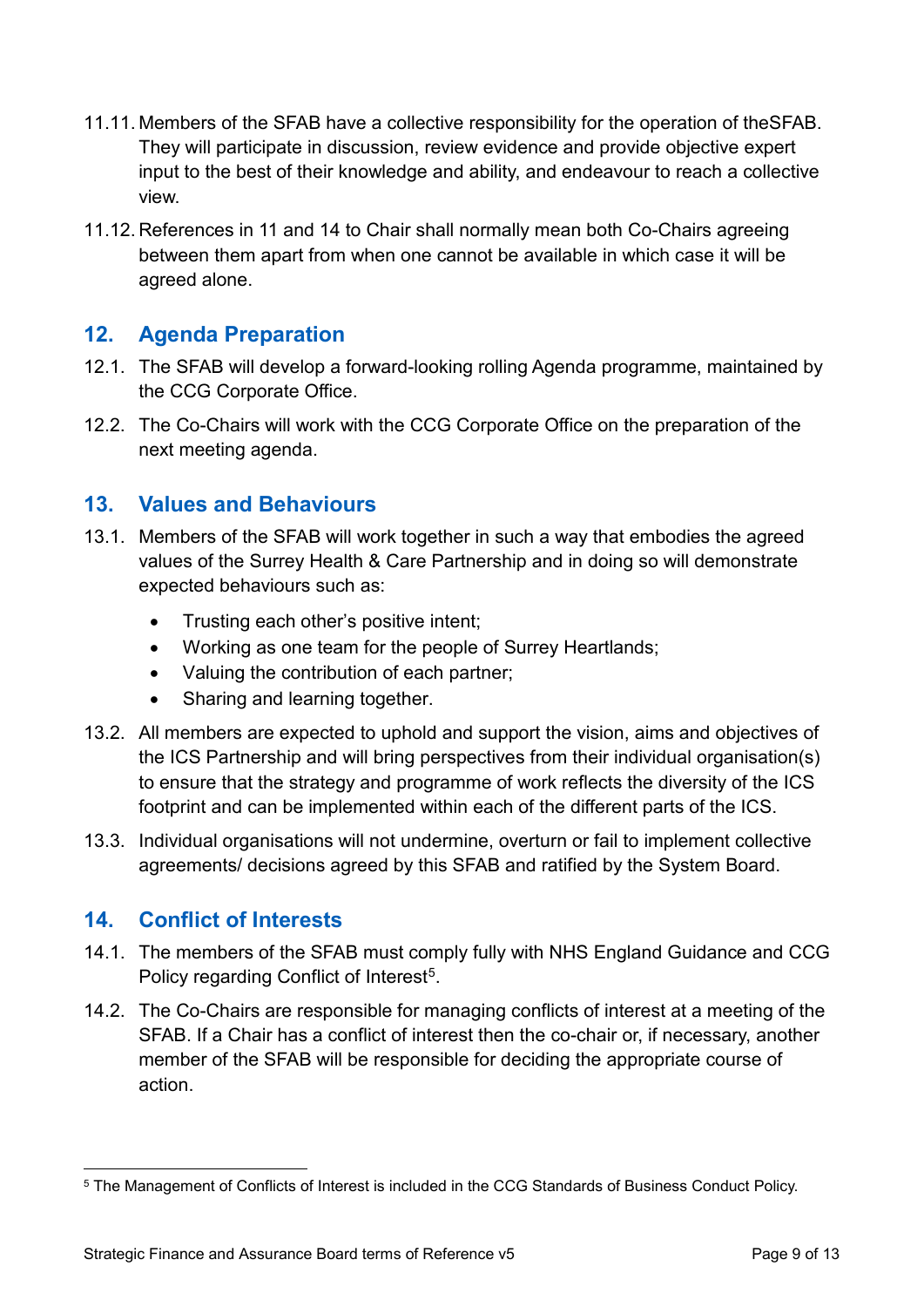- 11.11. Members of the SFAB have a collective responsibility for the operation of theSFAB. They will participate in discussion, review evidence and provide objective expert input to the best of their knowledge and ability, and endeavour to reach a collective view.
- 11.12. References in 11 and 14 to Chair shall normally mean both Co-Chairs agreeing between them apart from when one cannot be available in which case it will be agreed alone.

# **12. Agenda Preparation**

- 12.1. The SFAB will develop a forward-looking rolling Agenda programme, maintained by the CCG Corporate Office.
- 12.2. The Co-Chairs will work with the CCG Corporate Office on the preparation of the next meeting agenda.

## **13. Values and Behaviours**

- 13.1. Members of the SFAB will work together in such a way that embodies the agreed values of the Surrey Health & Care Partnership and in doing so will demonstrate expected behaviours such as:
	- Trusting each other's positive intent;
	- Working as one team for the people of Surrey Heartlands;
	- Valuing the contribution of each partner;
	- Sharing and learning together.
- 13.2. All members are expected to uphold and support the vision, aims and objectives of the ICS Partnership and will bring perspectives from their individual organisation(s) to ensure that the strategy and programme of work reflects the diversity of the ICS footprint and can be implemented within each of the different parts of the ICS.
- 13.3. Individual organisations will not undermine, overturn or fail to implement collective agreements/ decisions agreed by this SFAB and ratified by the System Board.

# **14. Conflict of Interests**

- 14.1. The members of the SFAB must comply fully with NHS England Guidance and CCG Policy regarding Conflict of Interest<sup>5</sup>.
- 14.2. The Co-Chairs are responsible for managing conflicts of interest at a meeting of the SFAB. If a Chair has a conflict of interest then the co-chair or, if necessary, another member of the SFAB will be responsible for deciding the appropriate course of action.

<span id="page-8-0"></span> <sup>5</sup> The Management of Conflicts of Interest is included in the CCG Standards of Business Conduct Policy.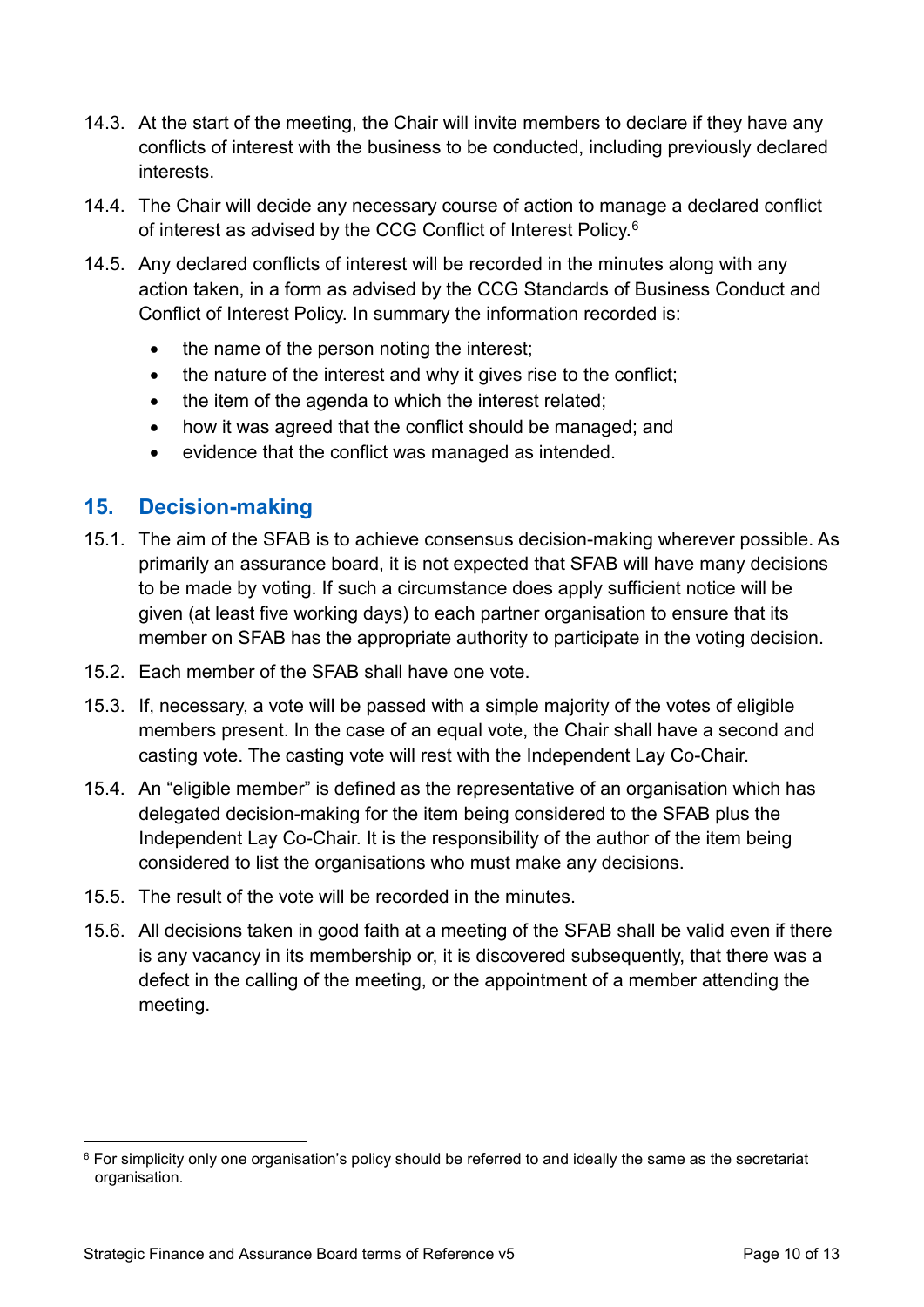- 14.3. At the start of the meeting, the Chair will invite members to declare if they have any conflicts of interest with the business to be conducted, including previously declared interests.
- 14.4. The Chair will decide any necessary course of action to manage a declared conflict of interest as advised by the CCG Conflict of Interest Policy.[6](#page-9-0)
- 14.5. Any declared conflicts of interest will be recorded in the minutes along with any action taken, in a form as advised by the CCG Standards of Business Conduct and Conflict of Interest Policy. In summary the information recorded is:
	- the name of the person noting the interest:
	- the nature of the interest and why it gives rise to the conflict;
	- the item of the agenda to which the interest related;
	- how it was agreed that the conflict should be managed; and
	- evidence that the conflict was managed as intended.

# **15. Decision-making**

- 15.1. The aim of the SFAB is to achieve consensus decision-making wherever possible. As primarily an assurance board, it is not expected that SFAB will have many decisions to be made by voting. If such a circumstance does apply sufficient notice will be given (at least five working days) to each partner organisation to ensure that its member on SFAB has the appropriate authority to participate in the voting decision.
- 15.2. Each member of the SFAB shall have one vote.
- 15.3. If, necessary, a vote will be passed with a simple majority of the votes of eligible members present. In the case of an equal vote, the Chair shall have a second and casting vote. The casting vote will rest with the Independent Lay Co-Chair.
- 15.4. An "eligible member" is defined as the representative of an organisation which has delegated decision-making for the item being considered to the SFAB plus the Independent Lay Co-Chair. It is the responsibility of the author of the item being considered to list the organisations who must make any decisions.
- 15.5. The result of the vote will be recorded in the minutes.
- 15.6. All decisions taken in good faith at a meeting of the SFAB shall be valid even if there is any vacancy in its membership or, it is discovered subsequently, that there was a defect in the calling of the meeting, or the appointment of a member attending the meeting.

<span id="page-9-0"></span> <sup>6</sup> For simplicity only one organisation's policy should be referred to and ideally the same as the secretariat organisation.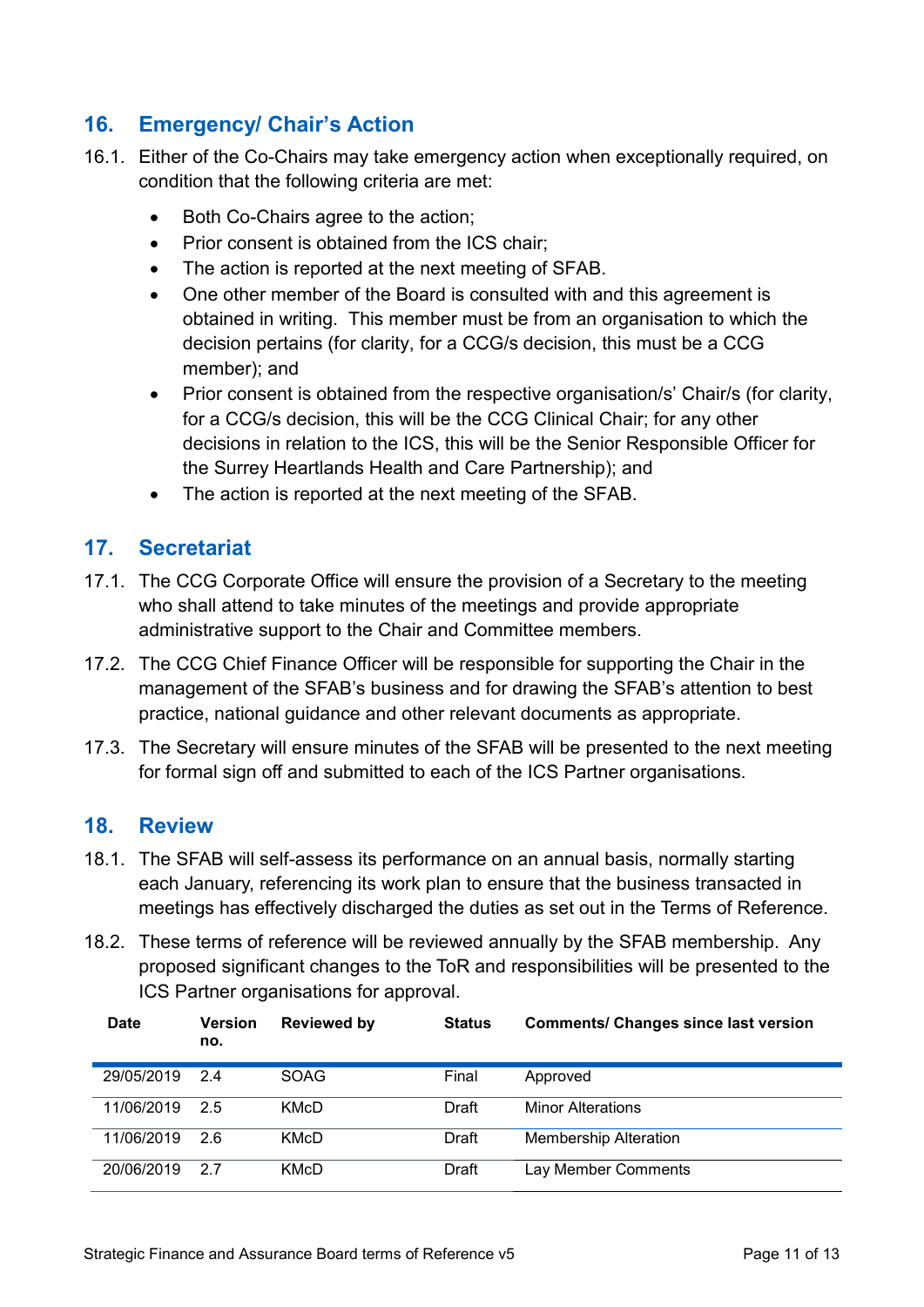# **16. Emergency/ Chair's Action**

- 16.1. Either of the Co-Chairs may take emergency action when exceptionally required, on condition that the following criteria are met:
	- Both Co-Chairs agree to the action;
	- Prior consent is obtained from the ICS chair;
	- The action is reported at the next meeting of SFAB.
	- One other member of the Board is consulted with and this agreement is obtained in writing. This member must be from an organisation to which the decision pertains (for clarity, for a CCG/s decision, this must be a CCG member); and
	- Prior consent is obtained from the respective organisation/s' Chair/s (for clarity, for a CCG/s decision, this will be the CCG Clinical Chair; for any other decisions in relation to the ICS, this will be the Senior Responsible Officer for the Surrey Heartlands Health and Care Partnership); and
	- The action is reported at the next meeting of the SFAB.

### **17. Secretariat**

- 17.1. The CCG Corporate Office will ensure the provision of a Secretary to the meeting who shall attend to take minutes of the meetings and provide appropriate administrative support to the Chair and Committee members.
- 17.2. The CCG Chief Finance Officer will be responsible for supporting the Chair in the management of the SFAB's business and for drawing the SFAB's attention to best practice, national guidance and other relevant documents as appropriate.
- 17.3. The Secretary will ensure minutes of the SFAB will be presented to the next meeting for formal sign off and submitted to each of the ICS Partner organisations.

### **18. Review**

- 18.1. The SFAB will self-assess its performance on an annual basis, normally starting each January, referencing its work plan to ensure that the business transacted in meetings has effectively discharged the duties as set out in the Terms of Reference.
- 18.2. These terms of reference will be reviewed annually by the SFAB membership. Any proposed significant changes to the ToR and responsibilities will be presented to the ICS Partner organisations for approval.

| <b>Date</b> | <b>Version</b><br>no. | <b>Reviewed by</b> | <b>Status</b> | <b>Comments/ Changes since last version</b> |
|-------------|-----------------------|--------------------|---------------|---------------------------------------------|
| 29/05/2019  | 24                    | <b>SOAG</b>        | Final         | Approved                                    |
| 11/06/2019  | 2.5                   | KMcD               | Draft         | <b>Minor Alterations</b>                    |
| 11/06/2019  | 26                    | KMcD               | Draft         | <b>Membership Alteration</b>                |
| 20/06/2019  | 27                    | KMcD               | Draft         | Lay Member Comments                         |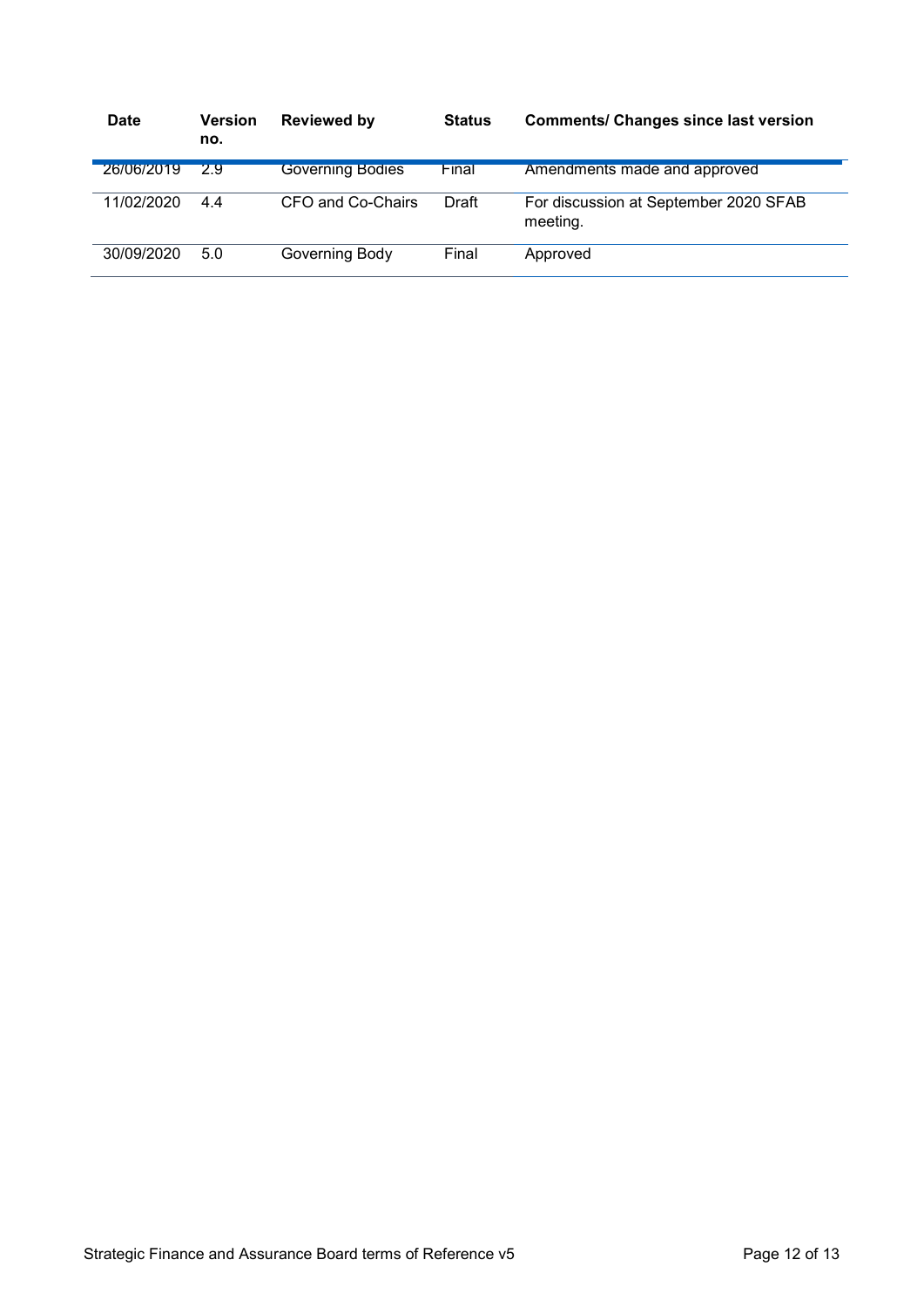| <b>Date</b> | <b>Version</b><br>no. | <b>Reviewed by</b>      | <b>Status</b> | <b>Comments/ Changes since last version</b>       |
|-------------|-----------------------|-------------------------|---------------|---------------------------------------------------|
| 26/06/2019  | 29                    | <b>Governing Bodies</b> | Final         | Amendments made and approved                      |
| 11/02/2020  | 44                    | CFO and Co-Chairs       | Draft         | For discussion at September 2020 SFAB<br>meeting. |
| 30/09/2020  | 5.0                   | Governing Body          | Final         | Approved                                          |